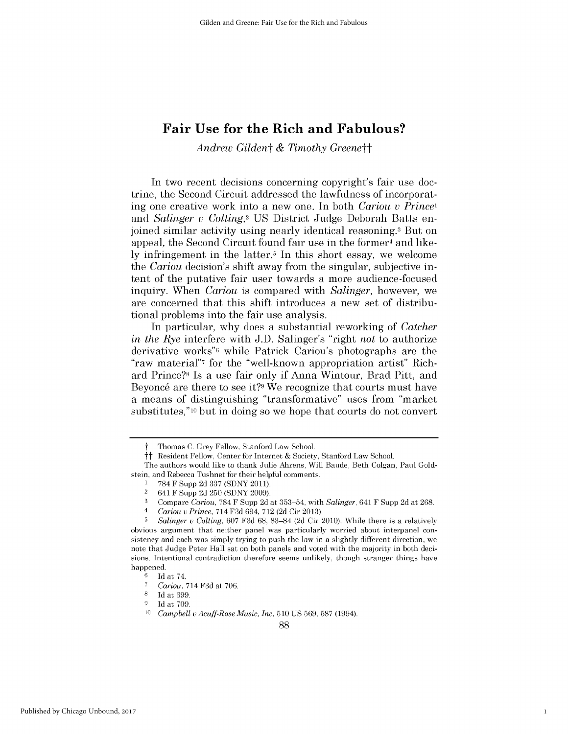*Andrew Gildent & Timothy Greenett*

In two recent decisions concerning copyright's fair use doctrine, the Second Circuit addressed the lawfulness of incorporating one creative work into a new one. In both *Cariou v Princel* and *Salinger u Colting,2* US District Judge Deborah Batts enjoined similar activity using nearly identical reasoning.3 But on appeal, the Second Circuit found fair use in the former<sup>4</sup> and like**ly** infringement in the latter.5 In this short essay, we welcome the *Cariou decision's* shift away from the singular, subjective intent of the putative fair user towards a more audience-focused inquiry. When *Cariou is* compared with *Salinger,* however, we are concerned that this shift introduces a new set of distributional problems into the fair use analysis.

In particular, why does a substantial reworking of *Catcher* in the Rye interfere with **J.D.** Salinger's "right not to authorize derivative works"6 while Patrick Cariou's photographs are the "raw material"7 for the "well-known appropriation artist" Richard Prince?8 Is a use fair only **if** Anna Wintour, Brad Pitt, and Beyoncé are there to see it?<sup>9</sup> We recognize that courts must have a means of distinguishing "transformative" uses from "market substitutes," **10** but in doing so we hope that courts do not convert

t Thomas **C.** Grey Fellow, Stanford Law School.

tt Resident Fellow, Center for Internet **&** Society, Stanford Law School.

The authors would like to thank Julie Ahrens, Will Baude, Beth Colgan, Paul Goldstein, and Rebecca Tushnet for their helpful comments.

**<sup>1 784</sup>** F Supp **2d 337 (SDNY 2011).**

<sup>2 641</sup> F Supp **2d 250 (SDNY 2009).**

**<sup>3</sup>** Compare *Cariou,* **784** F Supp **2d** at **353-54,** with *Salinger,* 641 F Supp **2d** at **268.**

<sup>4</sup>*Cariou u Prince,* 714 **F3d** 694, **712 (2d** Cir **2013).**

**<sup>5</sup>***Salinger u Colting,* **607 F3d 68, 83-84 (2d** Cir 2010). While there is a relatively obvious argument that neither panel was particularly worried about interpanel consistency and each was simply trying to push the law in a slightly different direction, we note that Judge Peter Hall sat on both panels and voted with the majority in both decisions. Intentional contradiction therefore seems unlikely, though stranger things have happened.<br> $6\quad \text{Id}$ 

**<sup>6</sup> Id** at 74.

**<sup>7</sup>** *Cariou,* 714 **F3d** at **706.**

**<sup>8</sup> Id** at **699.**

**<sup>9</sup> Id** at **709.**

**<sup>10</sup>***Campbell* v *Acuff-Rose Music, Inc,* **510 US 569, 587** (1994).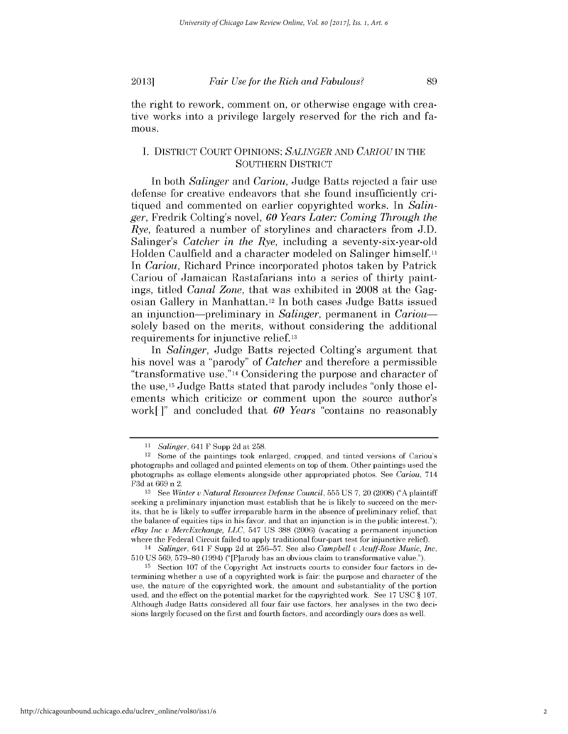the right to rework, comment on, or otherwise engage with creative works into a privilege largely reserved for the rich and fa**mous.**

## **I.** DISTRICT **COURT OPINIONS:** *SALINGER AND CARIOU* **IN THE SOUTHERN** DISTRICT

In both *Salinger and Cariou,* Judge Batts rejected a fair use defense for creative endeavors that she found insufficiently critiqued and commented on earlier copyrighted works. In *Salinger,* Fredrik Colting's novel, *60 Years Later: Coming Through the Rye,* featured a number of storylines and characters from **J.D.** Salinger's *Catcher in the Rye,* including a seventy-six-year-old Holden Caulfield and a character modeled on Salinger himself.<sup>11</sup> *In Cariou,* Richard Prince incorporated photos taken **by** Patrick Cariou of Jamaican Rastafarians into a series of thirty paintings, titled *Canal Zone,* that was exhibited in **2008** at the Gagosian Gallery in Manhattan.12 In both cases Judge Batts issued an injunction—preliminary in *Salinger*, permanent in *Cariou* solely based on the merits, without considering the additional requirements for injunctive relief.13

*In Salinger,* Judge Batts rejected Colting's argument that his novel was a "parody" of *Catcher* and therefore a permissible "transformative use."14 Considering the purpose and character of the use,15 Judge Batts stated that parody includes "only those elements which criticize or comment upon the source author's work[ **]"** and concluded that *60 Years* "contains no reasonably

**<sup>11</sup>** *Salinger,* 641 F Supp 2d at 258.

<sup>12</sup> Some of the paintings took enlarged, cropped, and tinted versions of Cariou's photographs and collaged and painted elements on top of them. Other paintings used the photographs as collage elements alongside other appropriated photos. See *Cariou,* 714 **F3d** at **669** n 2.

**<sup>13</sup>**See *Winter v Natural Resources Defense Council,* **555 US 7,** 20 **(2008) ("A** plaintiff seeking a preliminary injunction must establish that he is likely to succeed on the merits, that he is likely to suffer irreparable harm in the absence of preliminary relief, that the balance of equities tips in his favor, and that an injunction is in the public interest."); *eBay Inc v MercExchange, LLC,* 547 **US 388 (2006)** (vacating a permanent injunction where the Federal Circuit failed to apply traditional four-part test for injunctive relief).

*<sup>14</sup> Salinger,* 641 F Supp **2d** at **256-57.** See also *Campbell v Acuff-Rose Music, Inc,* **510 US 569, 579-80** (1994) ("[P]arody has an obvious claim to transformative value.").

**<sup>15</sup>** Section **107** of the Copyright Act instructs courts to consider four factors in determining whether a use of a copyrighted work is fair: the purpose and character of the use, the nature of the copyrighted work, the amount and substantiality of the portion used, and the effect on the potential market for the copyrighted work. See **17 USC** *§* **107.** Although Judge Batts considered all four fair use factors, her analyses in the two decisions largely focused on the first and fourth factors, and accordingly ours does as well.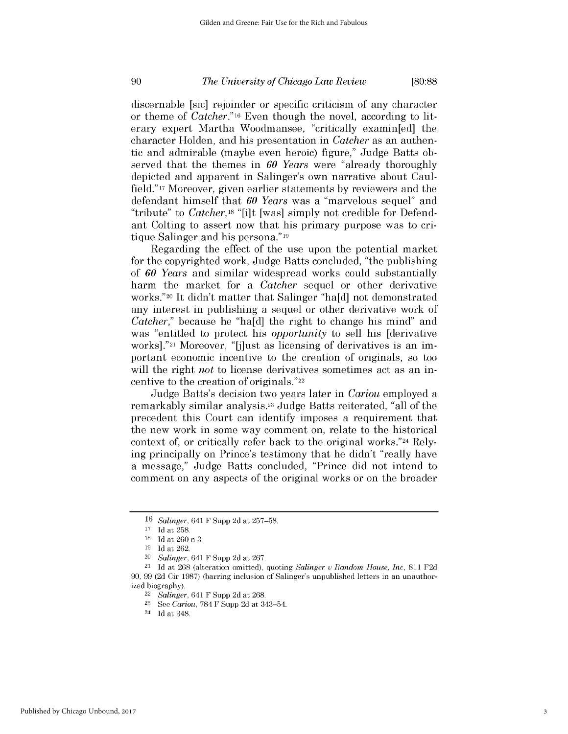discernable [sic] rejoinder or specific criticism of any character or theme of *Catcher."* **16** Even though the novel, according to literary expert Martha Woodmansee, "critically examin[ed] the character Holden, and his presentation in *Catcher* as an authentic and admirable (maybe even heroic) figure," Judge Batts observed that the themes in *60 Years* were "already thoroughly depicted and apparent in Salinger's own narrative about Caulfield." 17 Moreover, given earlier statements **by** reviewers and the defendant himself that *60 Years* was a "marvelous sequel" and "tribute" to *Catcher,18* "[i]t [was] simply not credible for Defendant Colting to assert now that his primary purpose was to critique Salinger and his persona."19

Regarding the effect of the use upon the potential market for the copyrighted work, Judge Batts concluded, "the publishing of *60 Years* and similar widespread works could substantially harm the market for a *Catcher* sequel or other derivative works."20 It didn't matter that Salinger "ha[d] not demonstrated any interest in publishing a sequel or other derivative work of *Catcher,"* because he "ha[d] the right to change his mind" and was "entitled to protect *his opportunity to sell his* [derivative works]."<sup>21</sup> Moreover, "[j]ust as licensing of derivatives is an important economic incentive to the creation of originals, so too will the right *not* to license derivatives sometimes act as an incentive to the creation of originals."22

Judge Batts's decision two years later in *Cariou* employed a remarkably similar analysis.23 Judge Batts reiterated, "all of the precedent this Court can identify imposes a requirement that the new work in some way comment on, relate to the historical context of, or critically refer back to the original works."24 Relying principally on Prince's testimony that he didn't "really have a message," Judge Batts concluded, "Prince **did** not intend to comment on any aspects of the original works or on the broader

**<sup>16</sup>***Salinger,* 641 F Supp **2d** at **257-58.**

**<sup>17</sup> Id** at **258.**

**<sup>18</sup> Id** at **260** n **3.**

**<sup>19</sup>**Id at **262.**

<sup>20</sup>*Salinger,* 641 F Supp **2d** at **267.**

<sup>21</sup>**Id** at **268** (alteration omitted), quoting *Salinger u Random House, Inc,* **811 F2d 90, 99 (2d** Cir **1987)** (barring inclusion of Salinger's unpublished letters in an unauthorized biography).

*<sup>22</sup> Salinger,* 641 F Supp **2d** at **268.**

**<sup>23</sup> See** *Cariou,* **784** F Supp **2d** at 343-54.

<sup>24</sup>**Id** at 348.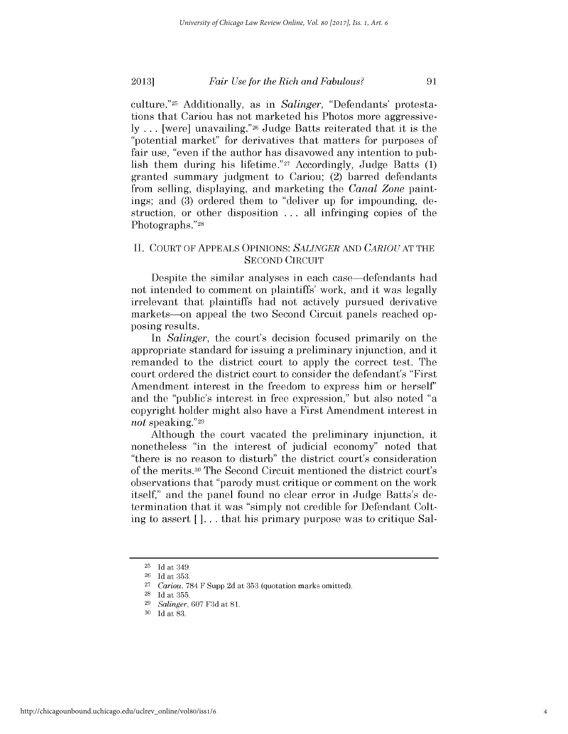culture."25 Additionally, as in *Salinger,* "Defendants' protestations that Cariou has not marketed his Photos more aggressive**ly ...** [were] unavailing."26 Judge Batts reiterated that it is the "potential market" for derivatives that matters for purposes of fair use, "even **if** the author has disavowed any intention to publish them during his lifetime."27 Accordingly, Judge Batts **(1)** granted summary judgment to Cariou; (2) barred defendants from selling, displaying, and marketing the *Canal Zone* paintings; and **(3)** ordered them to "deliver up for impounding, destruction, or other disposition **.** . **.** all infringing copies of the Photographs."28

## **II. COURT** OF **APPEALS OPINIONS:** *SALINGER* **AND** *CARIOUAT* **THE SECOND CIRCUIT**

Despite the similar analyses in each case—defendants had not intended to comment on plaintiffs' work, and it was legally irrelevant that plaintiffs had not actively pursued derivative markets—on appeal the two Second Circuit panels reached opposing results.

*In Salinger,* the court's decision focused primarily on the appropriate standard for issuing a preliminary injunction, and it remanded to the district court to apply the correct test. The court ordered the district court to consider the defendant's "First Amendment interest in the freedom to express him or herself' and the "public's interest in free expression," but also noted "a copyright holder might also have a First Amendment interest in *not* speaking."29

Although the court vacated the preliminary injunction, it nonetheless "in the interest of judicial economy" noted that "there is no reason to disturb" the district court's consideration of the merits. 30 The Second Circuit mentioned the district court's observations that "parody must critique or comment on the work itself," and the panel found no clear error in Judge Batts's determination that it was "simply not credible for Defendant Colting to assert  $\lceil \cdot \rceil$ ... that his primary purpose was to critique Sal-

**<sup>25</sup> Id** at 349.

**<sup>26</sup> Id** at **353.**

**<sup>27</sup>***Cariou,* **784** F Supp **2d** at **353** (quotation marks omitted).

**<sup>28</sup> Id** at **355.**

**<sup>29</sup>***Salinger,* **607 F3d** at **81.**

**<sup>30</sup> Id** at **83**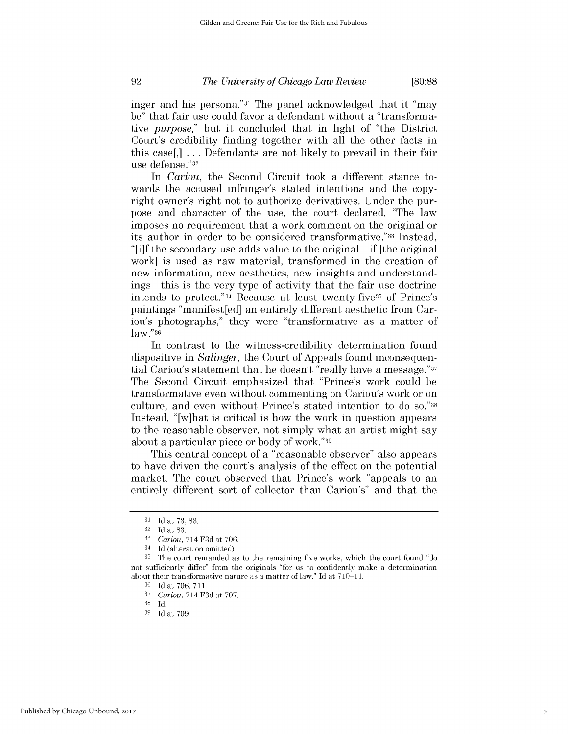inger and his persona."31 The panel acknowledged that it "may be" that fair use could favor a defendant without a "transformative *purpose,"* but it concluded that in light of "the District Court's credibility finding together with all the other facts in this case[,] **.** . **.** Defendants are not likely to prevail in their fair use defense."32

In *Cariou*, the Second Circuit took a different stance towards the accused infringer's stated intentions and the copyright owner's right not to authorize derivatives. Under the purpose and character of the use, the court declared, "The law imposes no **requirement** that a work comment on the original or its author in order to be considered transformative."33 Instead, "[i]f the secondary use adds value to the original-if [the original work] is used as raw material, transformed in the creation of new information, new aesthetics, new insights and understandings-this is the very type of activity that the fair use doctrine intends to protect."34 Because at least twenty-five35 of Prince's paintings "manifest[ed] an entirely different aesthetic from Cariou's photographs," they were "transformative as a matter of law."36

In contrast to the witness-credibility determination found dispositive in *Salinger,* the Court of Appeals found inconsequential Cariou's statement that he doesn't "really have a message."37 The Second Circuit emphasized that "Prince's work could be transformative even without commenting on Cariou's work or on culture, and even without Prince's stated intention to do **so."38** Instead, "[w]hat is critical is how the work in question appears to the reasonable observer, not simply what an artist might say about a particular piece or body of work."39

This central concept of a "reasonable observer" also appears to have driven the court's analysis of the effect on the potential market. The court observed that Prince's work "appeals to an entirely different sort of collector than Cariou's" and that the

Published by Chicago Unbound, 2017

**<sup>31</sup>** Id at 73, 83.

**<sup>32</sup> Id** at **83.**

**<sup>33</sup>***Cariou,* 714 **F3d** at **706.**

<sup>34</sup>**Id** (alteration omitted).

**<sup>35</sup>**The court remanded as to the remaining five works, which the court found "do not sufficiently differ" from the originals "for us to confidently make a determination about their transformative nature as a matter of law." **Id** at **710-11.**

**<sup>36</sup> Id** at **706, 711.**

**<sup>37</sup>***Cariou,* 714 **F3d** at **707.**

**<sup>38</sup> Id.**

**<sup>39</sup> Id** at **709**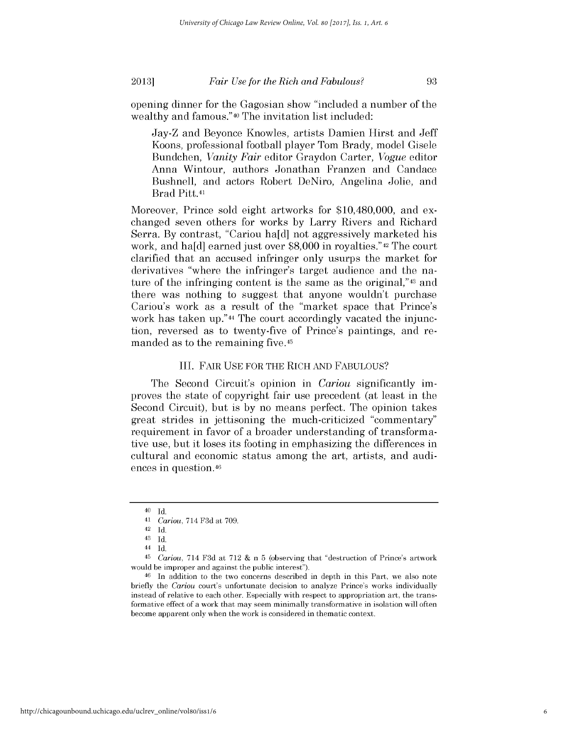opening dinner for the Gagosian show "included a number of the wealthy and famous."40 The invitation list included:

Jay-Z and Beyonce Knowles, artists Damien Hirst and Jeff Koons, professional football player Tom Brady, model Gisele Bundchen, *Vanity Fair* editor Graydon Carter, *Vogue* editor Anna Wintour, authors Jonathan Franzen and Candace Bushnell, and actors Robert DeNiro, Angelina Jolie, and Brad Pitt.41

Moreover, Prince sold eight artworks for \$10,480,000, and exchanged seven others for works **by** Larry Rivers and Richard Serra. **By** contrast, "Cariou ha[d] not aggressively marketed his work, and ha[d] earned just over **\$8,000** in royalties."42 The court clarified that an accused infringer only usurps the market for derivatives "where the infringer's target audience and the nature of the infringing content is the same as the original,"43 and there was nothing to suggest that anyone wouldn't purchase Cariou's work as a result of the "market space that Prince's work has taken **up."44** The court accordingly vacated the injunction, reversed as to twenty-five of Prince's paintings, and remanded as to the remaining five.45

#### III. FAIR **USE** FOR THE RICH **AND FABULOUS?**

The Second Circuit's opinion in *Cariou* significantly **im**proves the state of copyright fair use precedent (at least in the Second Circuit), but is **by** no means perfect. The opinion takes great strides in jettisoning the much-criticized "commentary" requirement in favor of a broader understanding of transformative use, but it loses its footing in emphasizing the differences in cultural and economic status among the art, artists, and audiences in question.46

<sup>40</sup> **Id.**

<sup>41</sup>*Cariou,* 714 **F3d** at **709.**

<sup>42</sup> **Id.**

<sup>43</sup> **Id.**

<sup>44</sup> **Id.**

<sup>45</sup>*Cariou,* 714 **F3d** at **712 &** n **5** (observing that "destruction of Prince's artwork would be improper and against the public interest").

<sup>46</sup> In addition to the two concerns described in depth in this Part, we also note briefly the *Cariou* court's unfortunate decision to analyze Prince's works individually instead of relative to each other. Especially with respect to appropriation art, the transformative effect of a work that may seem minimally transformative in isolation will often become apparent only when the work is considered in thematic context.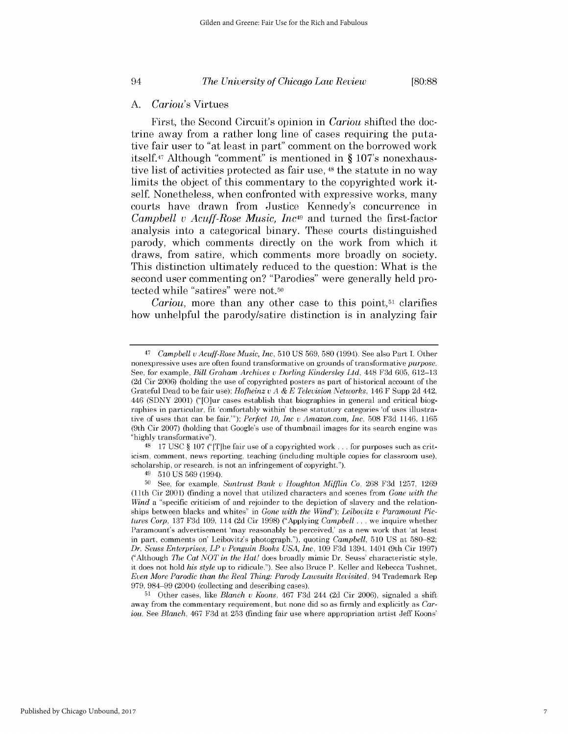#### *A. Cariou's* Virtues

First, the Second Circuit's opinion in *Cariou* shifted the doctrine away from a rather long line of cases requiring the putative fair user to "at least in part" comment on the borrowed work itself.47 Although "comment" is mentioned in **§** 107's nonexhaustive list of activities protected as fair use, **48** the statute in no way limits the object of this commentary to the copyrighted work itself. Nonetheless, when confronted with expressive works, many courts have drawn from Justice Kennedy's concurrence in *Campbell v Acuff-Rose Music, Inc49* and turned the first-factor analysis into a categorical binary. These courts distinguished parody, which comments directly on the work from which it draws, from satire, which comments more broadly on society. This distinction ultimately reduced to the question: What is the second user commenting on? "Parodies" were generally held protected while "satires" were not.50

*Cariou,* more than any other case to this **point,51** clarifies how unhelpful the parody/satire distinction is in analyzing fair

Published by Chicago Unbound, 2017

**<sup>47</sup>***Campbell* v *Acuff-Rose Music, Inc,* **510 US 569, 580** (1994). See also Part **I.** Other nonexpressive uses are often found transformative on grounds of transformative *purpose.* See, for example, *Bill Graham Archives u Dorling Kindersley Ltd,* 448 **F3d 605, 612-13 (2d** Cir **2006)** (holding the use of copyrighted posters as part of historical account of the Grateful Dead to be fair use); *Hofheinz u A & E Television Networks,* 146 F Supp **2d** 442, 446 **(SDNY** 2001) ("[O]ur cases establish that biographies in general and critical biographies in particular, fit 'comfortably within' these statutory categories 'of uses illustrative of uses that can be fair."'); *Perfect 10, Inc u Amazon.com, Inc,* **508 F3d** 1146, **1165** (9th Cir **2007)** (holding that Google's use of thumbnail images for its search engine was **"highly** transformative").

**<sup>48 17</sup> USC** *§* **107 ("** [T]he fair use of a copyrighted work **...** for purposes such as criticism, comment, news reporting, teaching (including multiple copies for classroom use), scholarship, or research, is not an infringement of copyright.").

<sup>49</sup>**510 US 569** (1994).

**<sup>50</sup>**See, for example, *Suntrust Bank u Houghton Mifflin Co,* **268 F3d 1257, 1269** (11th Cir 2001) (finding a novel that utilized characters and scenes from *Gone with the Wind* a "specific criticism of and rejoinder to the depiction of slavery and the relationships between blacks and whites" in *Gone with the Wind"); Leibovitz* v *Paramount Pictures Corp,* **137 F3d 109,** 114 **(2d** Cir **1998)** ("Applying *Campbell* **...** we inquire whether Paramount's advertisement 'may reasonably be perceived,' as a new work that 'at least in part, comments on' Leibovitz's photograph."), quoting *Campbell,* **510 US** at **580-82;** *Dr. Seuss Enterprises, LP u Penguin Books USA, Inc,* **109 F3d** 1394, 1401 (9th Cir **1997)** ("Although *The Cat NOT in the Hat!* does broadly mimic Dr. Seuss' characteristic style, **it** does not hold *his style* up to ridicule."). See also Bruce P. Keller and Rebecca Tushnet, *Even More Parodic than the Real Thing: Parody Lawsuits Revisited,* 94 Trademark Rep **979, 984-99** (2004) (collecting and describing cases).

**<sup>51</sup>**Other cases, like *Blanch u Koons,* 467 **F3d** 244 **(2d** Cir **2006),** signaled a shift away from the commentary requirement, but none did so as firmly and explicitly as *Cariou. See Blanch,* 467 **F3d** at **253** (finding fair use where appropriation artist Jeff Koons'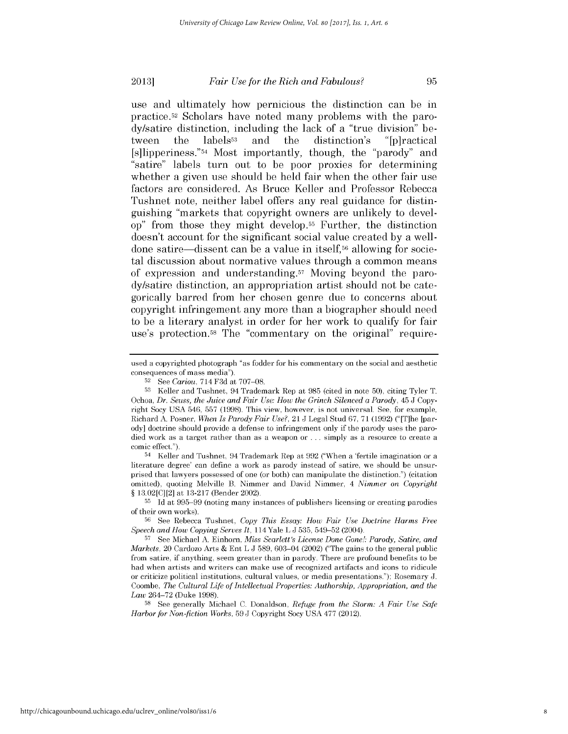use and ultimately how pernicious the distinction can be in practice.52 Scholars have noted many problems with the parody/satire distinction, including the lack of a "true division" between the labels<sup>53</sup> and the distinction's "[p]ractical [s]1ipperiness."54 Most importantly, though, the "parody" and "satire" labels turn out to be poor proxies for determining whether a given use should be held fair when the other fair use factors are considered. As Bruce Keller and Professor Rebecca Tushnet note, neither label offers any real guidance for distinguishing "markets that copyright owners are unlikely to develop" from those they might develop.55 Further, the distinction doesn't account for the significant social value created **by** a welldone satire-dissent can be a value in itself,56 allowing for societal discussion about normative values through a common means of expression and understanding.57 Moving beyond the parody/satire distinction, an appropriation artist should not be categorically barred from her chosen genre due to concerns about copyright infringement any more than a biographer should need to be a literary analyst in order for her work to qualify for fair use's protection.58 The "commentary on the original" require-

54 Keller and Tushnet, 94 Trademark Rep at **992** ("When a 'fertile imagination or a literature degree' can define a work as parody instead of satire, we should be unsurprised that lawyers possessed of one (or both) can manipulate the distinction.") (citation omitted), quoting Melville B. Nimmer and David Nimmer, 4 *Nimmer on Copyright §* **13.02[C][2]** at **13-217** (Bender 2002).

**55 Id** at **995-99** (noting many instances of publishers licensing or creating parodies of their own works).

**58 See** generally Michael **C.** Donaldson, *Refuge from the Storm: A Fair Use Safe Harbor for Non-fiction Works,* **59 J** Copyright Socy **USA 477** (2012).

used a copyrighted photograph "as fodder for his commentary on the social and aesthetic consequences of mass media").

**<sup>52</sup>**See *Cariou,* 714 **F3d** at **707-08.**

**<sup>53</sup>**Keller and Tushnet, 94 Trademark Rep at **985** (cited in note **50),** citing Tyler T. Ochoa, Dr. Seuss, the Juice and Fair Use: How the Grinch Silenced a Parody,  $45 \text{ J}$  Copyright Socy **USA** 546, **557 (1998).** This view, however, is not universal. See, for example, Richard **A.** Posner, *When Is Parody Fair Use?,* 21 **J** Legal Stud **67, 71 (1992)** ("[T]he [parody] doctrine should provide a defense to infringement only if the parody uses the parodied work as a target rather than as a weapon or . . . simply as a resource to create a comic effect.").

**<sup>56</sup> See** Rebecca Tushnet, *Copy This Essay: How Fair Use Doctrine Harms Free Speech and How Copying Serves It,* 114 Yale L **J 535,** 549-52 (2004).

**<sup>57</sup> See** Michael **A.** Einhorn, *Miss Scarlett's License Done Gone!: Parody, Satire, and Markets,* 20 Cardozo Arts **&** Ent L **J 589,** 603-04 (2002) ("The gains to the general public from satire, if anything, seem greater than in parody. There are profound benefits to be had when artists and writers can make use of recognized artifacts and icons to ridicule or criticize political institutions, cultural values, or media presentations."); Rosemary **J.** Coombe, *The Cultural Life of Intellectual Properties: Authorship, Appropriation, and the Law* 264-72 (Duke **1998).**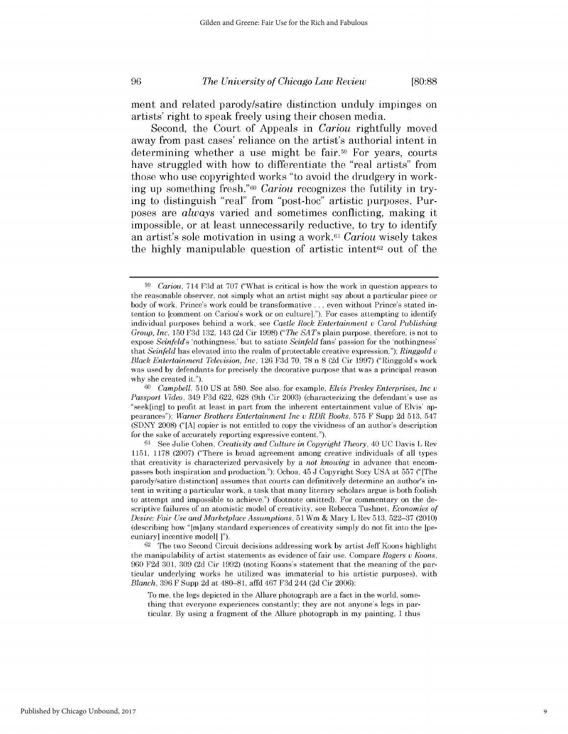ment and related parody/satire distinction unduly impinges on artists' right to speak freely using their chosen media.

Second, the Court of Appeals in *Cariou* rightfully moved away from past cases' reliance on the artist's authorial intent in determining whether a use might be fair.59 For years, courts have struggled with how to differentiate the "real artists" from those who use copyrighted works "to avoid the drudgery in working up something fresh."60 *Cariou* recognizes the futility in trying to distinguish "real" from "post-hoc" artistic purposes. Purposes are *always* varied and sometimes conflicting, making it impossible, or at least unnecessarily reductive, to try to identify an artist's sole motivation in using a work.61 *Cariou* wisely takes the highly manipulable question of artistic intent<sup>62</sup> out of the

9

**<sup>59</sup>***Cariou,* 714 **F3d** at **707** ("What is critical is how the work in question appears to the reasonable observer, not simply what an artist might say about a particular piece or body of work. Prince's work could be transformative **.** . **.** even without Prince's stated intention to [comment on Cariou's work or on culture]."). For cases attempting to identify individual purposes behind a work, see *Castle Rock Entertainment u Carol Publishing Group, Inc,* **150 F3d 132,** 143 **(2d** Cir **1998)** *("The SATs* plain purpose, therefore, is not to expose *Seinfelds* 'nothingness,' but to satiate *Seinfeld* fans' passion for the 'nothingness' that *Seinfeld* has elevated into the realm of protectable creative expression."); *Ringgold* v *Black Entertainment Television, Inc,* **126 F3d 70, 78** n **8 (2d** Cir **1997)** ("Ringgold's work was used **by** defendants for precisely the decorative purpose that was a principal reason why she created it.").

*<sup>60</sup>Campbell,* **510 US** at **580.** See also, for example, *Elvis Presley Enterprises, Inc u Passport Video,* 349 **F3d 622, 628** (9th Cir **2003)** (characterizing the defendant's use as "seek[ing] to profit at least in part from the inherent entertainment value of Elvis' appearances"); *Warner Brothers Entertainment Inc u RDR Books,* **575** F Supp **2d 513,** 547 **(SDNY 2008) ("[A]** copier is not entitled to copy the vividness of an author's description for the sake of accurately reporting expressive content.").

**<sup>61</sup>**See Julie Cohen, *Creativity and Culture in Copyright Theory,* 40 **UC** Davis L Rev **1151, 1178 (2007)** ("There is broad agreement among creative individuals of all types that creativity is characterized pervasively **by** a *not knowing* in advance that encompasses both inspiration and production."); Ochoa, 45 **J** Copyright Socy **USA** at **557** ("[The parody/satire distinction] assumes that courts can definitively determine an author's intent in writing a particular work, a task that many literary scholars argue is both foolish to attempt and impossible to achieve.") (footnote omitted). For commentary on the descriptive failures of an atomistic model of creativity, see Rebecca Tushnet, *Economies of Desire: Fair Use and Marketplace Assumptions,* **51** Wm **&** Mary L Rev **513, 522-37** (2010) (describing how "[m]any standard experiences of creativity simply do not fit into the [pecuniary] incentive model[ **]").**

**<sup>62</sup>**The two Second Circuit decisions addressing work **by** artist Jeff Koons highlight the manipulability of artist statements as evidence of fair use. Compare *Rogers u Koons,* **960 F2d 301, 309 (2d** Cir **1992)** (noting Koons's statement that the meaning of the particular underlying works he utilized was immaterial to his artistic purposes), with *Blanch,* **396** F Supp **2d** at **480-81,** affd 467 **F3d** 244 **(2d** Cir **2006):**

To me, the legs depicted in the Allure photograph are a fact in the world, something that everyone experiences constantly; they are not anyone's legs in particular. **By** using a fragment of the Allure photograph in my painting, **I** thus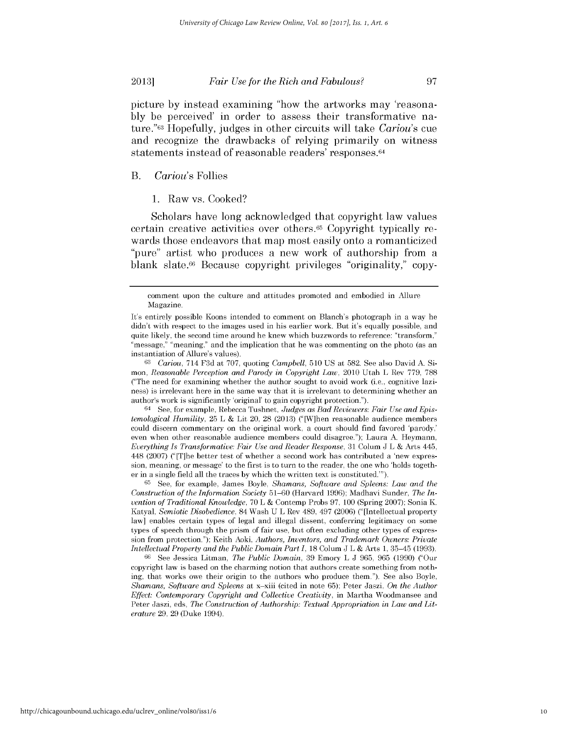picture **by** instead examining "how the artworks may 'reasona**bly** be perceived' in order to *assess* their transformative nature."63 Hopefully, judges in other circuits will take *Cariou's* cue and recognize the drawbacks of relying primarily on witness statements instead of reasonable readers' responses. <sup>64</sup>

#### B. *Cariou's* Follies

**1.** Raw vs. Cooked?

Scholars have long acknowledged that copyright law values certain creative activities over others.65 Copyright typically rewards those endeavors that map most easily onto a romanticized "pure" artist who produces a new work of authorship from a blank slate.66 Because copyright privileges "originality," copy-

**63** *Cariou,* 714 **F3d** at **707,** quoting *Campbell,* **510 US** at **582.** See also David **A.** Simon, *Reasonable Perception and Parody in Copyright Law,* 2010 Utah L Rev **779, 788** ("The need for examining whether the author sought to avoid work (i.e., cognitive laziness) is irrelevant here in the same way that it is irrelevant to determining whether an author's work is significantly 'original' to gain copyright protection.").

64 **See,** for example, Rebecca Tushnet, *Judges as Bad Reviewers: Fair Use and Epistemological Humility,* **25** L **&** Lit 20, **28 (2013)** ("[W]hen reasonable audience members could discern commentary on the original work, a court should find favored 'parody,' even when other reasonable audience members could disagree."); Laura **A.** Heymann, *Everything Is Transformative: Fair Use and Reader Response,* **31** Colum **J** L **&** Arts 445, 448 **(2007)** ("[T]he better test of whether a second work has contributed a 'new expression, meaning, or message' to the first is to turn to the reader, the one who 'holds together in a single field all the traces **by** which the written text is constituted."').

**65 See,** for example, James Boyle, *Shamans, Software and Spleens: Law and the Construction of the Information Society* **51-60** (Harvard **1996);** Madhavi Sunder, *The Invention of Traditional Knowledge,* **70** L **&** Contemp Probs **97, 100** (Spring **2007);** Sonia K. Katyal, *Semiotic Disobedience,* 84 Wash **U** L Rev 489, 497 **(2006)** ("[Intellectual property law] enables certain types of legal and illegal dissent, conferring legitimacy on some types of speech through the prism of fair use, but often excluding other types of expression from protection."); Keith Aoki, *Authors, Inventors, and Trademark Owners: Private Intellectual Property and the Public Domain Part I,* **18** Colum **J** L **&** Arts **1, 35-45 (1993).**

**66 See** Jessica Litman, *The Public Domain,* **39** Emory L **J 965, 965 (1990)** ("Our copyright law is based on the charming notion that authors create something from nothing, that works owe their origin to the authors who produce them."). See also Boyle, *Shamans, Software and Spleens* at x-xiii (cited in note **65);** Peter Jaszi, *On the Author Effect: Contemporary Copyright and Collective Creativity,* in Martha Woodmansee and Peter Jaszi, eds, *The Construction of Authorship: Textual Appropriation in Law and Literature* **29, 29** (Duke 1994).

comment upon the culture and attitudes promoted and embodied in Allure Magazine.

It's entirely possible Koons intended to comment on Blanch's photograph in a way he didn't with respect to the images used in his earlier work. But it's equally possible, and quite likely, the second time around he knew which buzzwords to reference: "transform," "message," "meaning," and the implication that he was commenting on the photo (as an instantiation of Allure's values).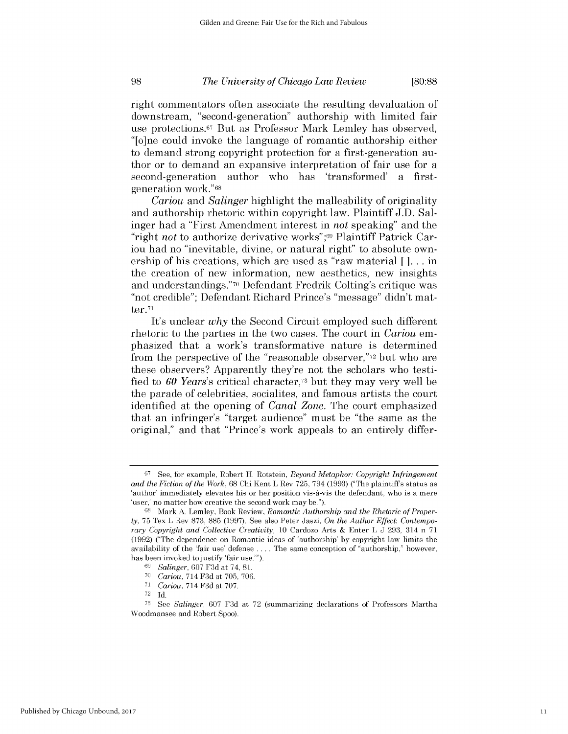right commentators often associate the resulting devaluation of downstream, "second-generation" authorship with limited fair use protections.67 But as Professor Mark Lemley has observed, "[o]ne could invoke the language of romantic authorship either to demand strong copyright protection for a first-generation author or to demand an expansive interpretation of fair use for a second-generation author who has 'transformed' a firstgeneration work."68

*Cariou and Salinger* highlight the malleability of originality and authorship rhetoric within copyright law. Plaintiff **J.D.** Salinger had a "First Amendment interest in *not* speaking" and the "right *not* to authorize derivative works" ;69 Plaintiff Patrick Cariou had no "inevitable, divine, or natural right" to absolute ownership of his creations, which are used as "raw material **[ ]...** in the creation of new information, new aesthetics, new insights and understandings." **70** Defendant Fredrik Colting's critique was "not credible"; Defendant Richard Prince's "message" didn't matter.<sup>71</sup>

It's *unclear why* the Second Circuit employed such different rhetoric to the parties in the two cases. The court in *Cariou em*phasized that a work's transformative nature is determined from the perspective of the "reasonable observer,"72 but who are these observers? Apparently they're not the scholars who testified to *60 Years's* critical character,73 but they may very well be the parade of celebrities, socialites, and famous artists the court identified at the opening of *Canal Zone.* The court emphasized that an infringer's "target audience" must be "the same as the original," and that "Prince's work appeals to an entirely differ-

**<sup>67</sup>See,** for example, Robert H. Rotstein, *Beyond Metaphor: Copyright Infringement and the Fiction of the Work,* **68** Chi Kent L Rev **725,** 794 **(1993)** ("The plaintiff s status as 'author' immediately elevates his or her position vis-à-vis the defendant, who is a mere 'user,' no matter how creative the second work may be.").

**<sup>68</sup>** Mark **A.** Lemley, Book Review, *Romantic Authorship and the Rhetoric of Property,* **75** Tex L Rev **873, 885 (1997).** See also Peter Jaszi, *On the Author Effect: Contemporary Copyright and Collective Creativity, 10* Cardozo Arts **&** Enter L **J 293,** 314 n **<sup>71</sup> (1992)** ("The dependence on Romantic ideas of 'authorship' **by** copyright law limits the availability of the 'fair use' defense **.** . . **.** The same conception of "authorship," however, has been invoked to justify 'fair use."').

**<sup>69</sup>***Salinger,* **607 F3d** at 74, **81.**

**<sup>70</sup>***Cariou,* 714 **F3d** at **705, 706.**

**<sup>71</sup>***Cariou,* 714 **F3d** at **707.**

**<sup>72</sup>Id.**

**<sup>73</sup>***See Salinger,* **607 F3d** at **72** (summarizing declarations of Professors Martha Woodmansee and Robert Spoo).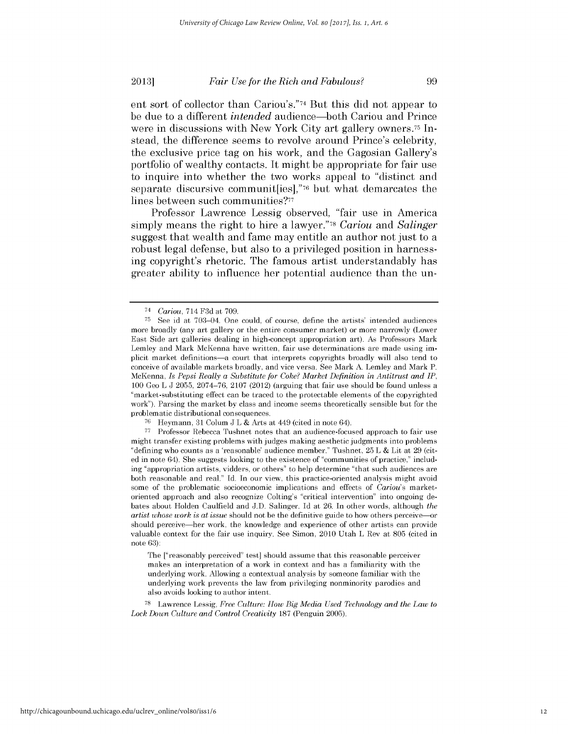ent sort of collector than Cariou's."74 But this **did** not appear to be due to a different *intended* audience-both Cariou and Prince were in discussions with New York City art gallery owners.<sup>75</sup> Instead, the difference seems to revolve around Prince's celebrity, the exclusive price tag on his work, and the Gagosian Gallery's portfolio of wealthy contacts. It might be appropriate for fair use to inquire into whether the two works appeal to "distinct and separate discursive communit[ies],"76 but what demarcates the lines between such communities?77

Professor Lawrence Lessig observed, "fair use in America simply means the right to hire a lawyer."<sup>78</sup> Cariou and Salinger suggest that wealth and fame may entitle an author not just to a robust legal defense, but also to a privileged position in harnessing copyright's rhetoric. The famous artist understandably has greater ability to influence her potential audience than the un-

The ["reasonably perceived" test] should assume that this reasonable perceiver makes an interpretation of a work in context and has a familiarity with the underlying work. Allowing a contextual analysis **by** someone familiar with the underlying work prevents the law from privileging nonminority parodies and also avoids looking to author intent.

**<sup>78</sup>**Lawrence Lessig, *Free Culture: How Big Media Used Technology and the Law to Lock Down Culture and Control Creativity* **187** (Penguin **2005).**

<sup>74</sup>*Cariou,* 714 **F3d** *at* **709.**

**<sup>75</sup> See** id at 703-04. One could, of course, define the artists' intended audiences more broadly (any art gallery or the entire consumer market) or more narrowly (Lower East Side art galleries dealing in high-concept appropriation art). As Professors Mark Lemley and Mark McKenna have written, fair use determinations are made using implicit market definitions-a court that interprets copyrights broadly will also tend to conceive of available markets broadly, and vice versa. See Mark **A.** Lemley and Mark P. McKenna, *Is Pepsi Really a Substitute for Coke? Market Definition in Antitrust and IP,* **100** Geo L **J 2055, 2074-76, 2107** (2012) (arguing that fair use should be found unless a 'market-substituting effect can be traced to the protectable elements of the copyrighted work"). Parsing the market **by** class and income seems theoretically sensible but for the problematic distributional consequences.

**<sup>76</sup>**Heymann, **31** Colum **J** L **&** Arts at *449* (cited in note 64).

**<sup>77</sup>**Professor Rebecca Tushnet notes that an audience-focused approach to fair use might transfer existing problems with judges making aesthetic judgments into problems "defining who counts as a 'reasonable' audience member." Tushnet, **25** L **&** Lit at **29** (cited in note 64). She suggests looking to the existence of "communities of practice," including "appropriation artists, vidders, or others" to help determine "that such audiences are both reasonable and real." **Id.** In our view, this practice-oriented analysis might avoid some of the problematic socioeconomic implications and effects of *Cariou's* marketoriented approach and also recognize Colting's "critical intervention" into ongoing debates about Holden Caulfield and **J.D.** Salinger. **Id** at **26.** In other words, although *the artist whose work is at issue* should not be the definitive guide to how others perceive-or should perceive-her work, the knowledge and experience of other artists can provide valuable context for the fair use inquiry. See Simon, 2010 Utah L Rev at **805** (cited in note **63):**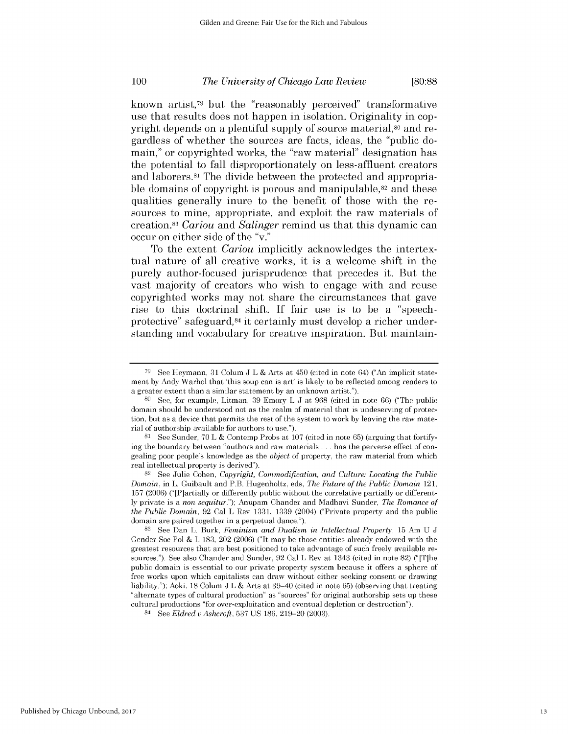known artist,79 but the "reasonably perceived" transformative use that results does not happen in isolation. Originality in copyright depends on a plentiful supply of source material,<sup>80</sup> and regardless of whether the sources are facts, ideas, the "public domain," or copyrighted works, the "raw material" designation has the potential to fall disproportionately on less-affluent creators and laborers.81 The divide between the protected and appropriable domains of copyright is porous and manipulable,<sup>82</sup> and these qualities generally inure to the benefit of those with the resources to mine, appropriate, and exploit the raw materials of creation.<sup>83</sup> Cariou and Salinger remind us that this dynamic can occur on either side of the "v."

To the extent *Cariou* implicitly acknowledges the intertextual nature of all creative works, it *is* a welcome shift in the purely author-focused jurisprudence that precedes it. But the vast majority of creators who wish to engage with and reuse copyrighted works may not share the circumstances that gave rise to this doctrinal shift. **If** fair use is to be a "speechprotective" safeguard,84 it certainly must develop a richer understanding and vocabulary for creative inspiration. But maintain-

**<sup>79</sup> See** Heymann, **31** Colum **J** L **&** Arts at 450 (cited in note 64) ("An implicit statement **by** Andy Warhol that 'this soup can is art' is likely to be reflected among readers to a greater extent than a similar statement **by** an unknown artist.").

**<sup>80</sup>**See, for example, Litman, **39** Emory L **J** at **968** (cited in note **66)** ("The public domain should be understood not as the realm of material that is undeserving of protection, but as a device that permits the rest of the system to work **by** leaving the raw material of authorship available for authors to use.").

**<sup>81</sup>** See Sunder, **70** L **&** Contemp Probs at **107** (cited in note **65)** (arguing that fortifying the boundary between "authors and raw materials **...** has the perverse effect of congealing poor people's knowledge as the *object* of property, the raw material from which real intellectual property is derived").

**<sup>82</sup>**See Julie Cohen, *Copyright, Commodification, and Culture: Locating the Public Domain,* in L. Guibault and P.B. Hugenholtz, eds, *The Future of the Public Domain* 121, **157 (2006)** ("[P]artially or differently public without the correlative partially or different**ly** private is a *non sequitur.");* Anupam Chander and Madhavi Sunder, *The Romance of the Public Domain,* **92** Cal L Rev **1331, 1339** (2004) ("Private property and the public domain are paired together in a perpetual dance.").

**<sup>83</sup>**See Dan L. Burk, *Feminism and Dualism in Intellectual Property,* **15** Am **U J** Gender Soc Pol **&** L **183,** 202 **(2006)** ("It may be those entities already endowed with the greatest resources that are best positioned to take advantage of such freely available resources."). See also Chander and Sunder, **92** Cal L Rev at 1343 (cited in note **82)** ("[T]he public domain is essential to our private property system because it offers a sphere of free works upon which capitalists can draw without either seeking consent or drawing liability."); Aoki, **18** Colum **J** L **&** Arts at 39-40 (cited in note **65)** (observing that treating "alternate types of cultural production" as "sources" for original authorship sets up these cultural productions "for over-exploitation and eventual depletion or destruction").

<sup>84</sup>**See** *Eldred* v *Ashcroft,* **537 US 186, 219-20 (2003).**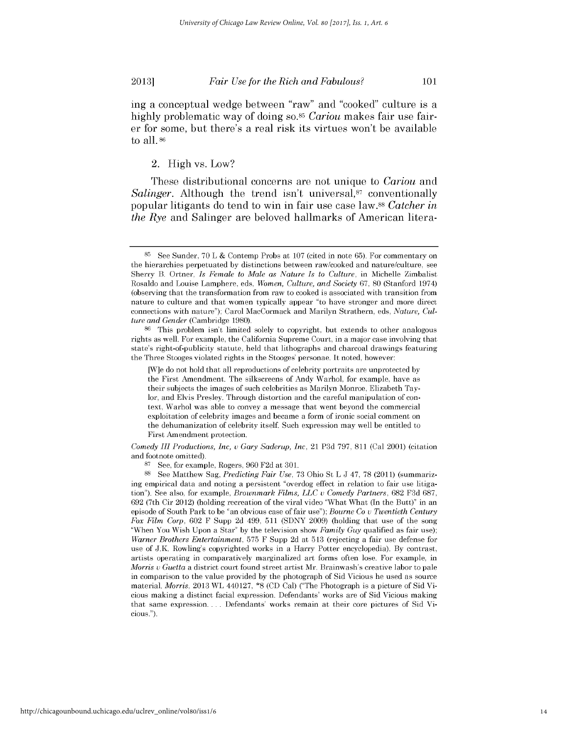ing a conceptual wedge between "raw" and "cooked" culture is a highly problematic way of doing so.<sup>85</sup> *Cariou* makes fair use fairer for some, but there's a real *risk its* virtues won't be available to all.<sup>86</sup>

## 2. **High** vs. Low?

These distributional concerns are not unique to *Cariou* and *Salinger.* Although the trend isn't universal,<sup>87</sup> conventionally popular litigants do tend to win in fair use case law.88 *Catcher in the Rye* and Salinger are beloved hallmarks of American litera-

*Comedy III Productions, Inc, v Gary Saderup, Inc,* 21 **P3d 797, 811** (Cal 2001) (citation and footnote omitted).

**<sup>85</sup>See** Sunder, **70** L **&** Contemp Probs at **107** (cited in note **65).** For commentary on the hierarchies perpetuated **by** distinctions between raw/cooked and nature/culture, see Sherry B. Ortner, *Is Female to Male as Nature Is to Culture,* in Michelle Zimbalist Rosaldo and Louise Lamphere, eds, *Women, Culture, and Society* **67, 80** (Stanford 1974) (observing that the transformation from raw to cooked is associated with transition from nature to culture and that women typically appear "to have stronger and more direct connections with nature"); Carol MacCormack and Marilyn Strathern, eds, *Nature, Culture and Gender* (Cambridge **1980).**

**<sup>86</sup>**This problem isn't limited solely to copyright, but extends to other analogous rights as well. For example, the California Supreme Court, in a major case involving that state's right-of-publicity statute, held that lithographs and charcoal drawings featuring the Three Stooges violated rights in the Stooges' personae. It noted, however:

<sup>[</sup>W]e do not hold that all reproductions of celebrity portraits are unprotected **by** the First Amendment. The silkscreens of Andy Warhol, for example, have as their subjects the images of such celebrities as Marilyn Monroe, Elizabeth Taylor, and Elvis Presley. Through distortion and the careful manipulation of context, Warhol was able to convey a message that went beyond the commercial exploitation of celebrity images and became a form of ironic social comment on the dehumanization of celebrity itself. Such expression may well be entitled to First Amendment protection.

**<sup>87</sup>See,** for example, Rogers, **960 F2d** at **301.**

**<sup>88</sup>** See Matthew Sag, *Predicting Fair Use,* **73** Ohio St L **J** 47, **78** (2011) (summarizing empirical data and noting a persistent "overdog effect in relation to fair use litigation"). See also, for example, *Brownmark Films, LLC v Comedy Partners,* **682 F3d 687, 692** (7th Cir 2012) (holding recreation of the viral video "What What (In the Butt)" in an episode of South Park to be "an obvious case of fair use"); *Bourne Co v Twentieth Century Fox Film Corp,* **602** F Supp **2d** 499, **511 (SDNY 2009)** (holding that use of the song "When You Wish Upon a Star" **by** the television show *Family Guy* qualified as fair use); *Warner Brothers Entertainment,* **575** F Supp **2d** at **513** (rejecting a fair use defense for use **of J.K.** Rowling's copyrighted works in a Harry Potter encyclopedia). **By** contrast, artists operating in comparatively marginalized art forms often lose. For example, in *Morris v Guetta* a district court found street artist Mr. Brainwash's creative labor to pale in comparison to the value provided **by** the photograph of Sid Vicious he used as source material. *Morris,* **2013** WL 440127, **\*8 (CD** Cal) ("The Photograph is a picture of Sid Vicious making a distinct facial expression. Defendants' works are of Sid Vicious making that same expression. . . **.** Defendants' works remain at their core pictures of Sid Vicious.").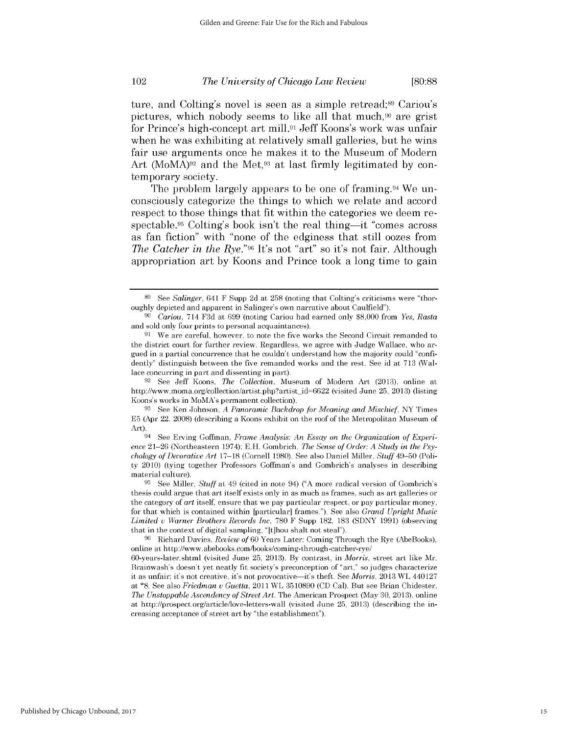ture, and Colting's novel is seen as a simple retread;<sup>89</sup> Cariou's pictures, which nobody seems to like all that much,<sup> $90$ </sup> are grist for Prince's high-concept art mill.91 Jeff Koons's work was unfair when he was exhibiting at relatively small galleries, but he wins fair use arguments once he makes it to the Museum of Modern Art (MoMA)<sup>92</sup> and the Met,<sup>93</sup> at last firmly legitimated by contemporary society.

The problem largely appears to be one of framing.94 We unconsciously categorize the things to which we relate and accord respect to those things that fit within the categories we deem respectable.<sup>95</sup> Colting's book isn't the real thing—it "comes across" as fan fiction" with "none of the edginess that still oozes from *The Catcher in the Rye."96 It's* not "art" so it's not fair. Although appropriation art **by** Koons and Prince took a long time to gain

**<sup>92</sup>**See Jeff Koons, *The Collection,* Museum of Modern Art **(2013),** online at http://www.moma.org/collection/artist.php?artist\_id=6622 (visited June 25, 2013) (listing Koons's works in MoMA's permanent collection).

**<sup>89</sup> See** *Salinger,* 641 F Supp **2d** at **258** (noting that Colting's criticisms were "thoroughly depicted and apparent in Salinger's own narrative about Caulfield").

*<sup>90</sup>Cariou,* 714 **F3d** at **699** (noting Cariou had earned only **\$8,000** from *Yes, Rasta* and sold only four prints to personal acquaintances).

**<sup>91</sup>**We are careful, however, to note the five works the Second Circuit remanded to the district court for further review. Regardless, we agree with Judge Wallace, who argued in a partial concurrence that he couldn't understand how the majority could "confidently" distinguish between the five remanded works and the rest. See id at **713** (Wallace concurring in part and dissenting in part).

**<sup>93</sup>**See Ken Johnson, *A Panoramic Backdrop for Meaning and Mischief,* NY Times **E5** (Apr 22, **2008)** (describing a Koons exhibit on the roof of the Metropolitan Museum of *Art).*

See Erving Goffman, *Frame Analysis: An Essay on the Organization of Experience* **21-26** (Northeastern 1974); **E.H.** Gombrich, *The Sense of Order: A Study in the Psychology of Decorative Art* **17-18** (Cornell **1980).** See also Daniel Miller, *Stuff* 49-50 (Polity 2010) (tying together Professors Goffman's and Gombrich's analyses in describing material culture).

**<sup>95</sup> See** Miller, *Stuff* at 49 (cited in note 94) **("A** more radical version of Gombrich's thesis could argue that art itself exists only in as much as frames, such as art galleries or the category of *art* itself, ensure that we pay particular respect, or pay particular money, for that which is contained within [particular] frames."). See also *Grand Upright Music Limited v Warner Brothers Records Inc,* **780** F Supp **182, 183 (SDNY 1991)** (observing that in the context of digital sampling, "[t]hou shalt not steal").

**<sup>96</sup>**Richard Davies, *Review of* **60** Years Later: Coming Through the Rye (AbeBooks), online at http://www.abebooks.com/books/coming-through-catcher-rye/

<sup>60-</sup>years-later.shtml (visited June **25, 2013). By** contrast, in *Morris,* street art like Mr. Brainwash's doesn't yet neatly fit society's preconception of "art," so judges characterize it as unfair; it's not creative, it's not provocative-it's theft. See *Morris,* **2013** WL 440127 at **\*8.** See also *Friedman v Guetta,* 2011 WL **3510890 (CD** Cal). But see Brian Chidester, *The Unstoppable Ascendency of Street Art,* The American Prospect (May **30, 2013),** online at http://prospect.org/article/love-letters-wall (visited June **25, 2013)** (describing the increasing acceptance of street art **by** "the establishment").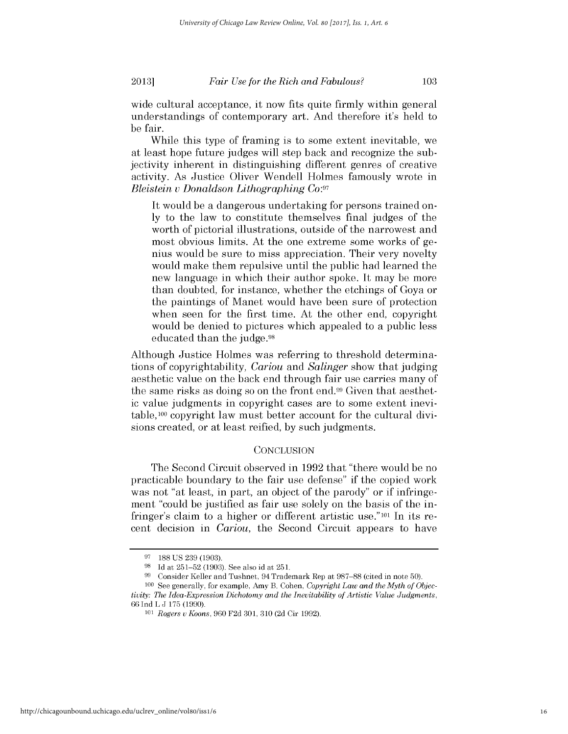be fair.

wide cultural acceptance, it now fits quite firmly within general understandings of contemporary art. And therefore it's held to

While this type of framing is to some extent inevitable, we at least hope future judges will step back and recognize the subjectivity inherent in distinguishing different genres of creative activity. As Justice Oliver Wendell Holmes famously wrote in *Bleistein v Donaldson Lithographing Co:97*

It would be a dangerous undertaking for persons trained on**ly** to the law to constitute themselves final judges of the worth of pictorial illustrations, outside of the narrowest and most obvious limits. At the one extreme some works of genius would be sure to miss appreciation. Their very novelty would make them repulsive until the public had learned the new language in which their author spoke. It may be more than doubted, for instance, whether the etchings of Goya or the paintings of Manet would have been sure of protection when seen for the first time. At the other end, copyright would be denied to pictures which appealed to a public less educated than the judge.98

Although Justice Holmes was referring to threshold determinations of copyrightability, *Cariou and Salinger* show that judging aesthetic value on the back end through fair use carries many of the same risks as doing so on the front end.99 Given that aesthetic value judgments in copyright cases are to some extent inevitable, 100 copyright law must better account for the cultural divisions created, or at least reified, **by** such judgments.

#### **CONCLUSION**

The Second Circuit observed in **1992** that "there would be no practicable boundary to the fair use defense" **if** the copied work was not "at least, in part, an object of the parody" or **if** infringement "could be justified as fair use solely on the basis of the infringer's claim to a higher or different artistic use."101 In its recent decision in *Cariou,* the Second Circuit appears to have

**<sup>97</sup> 188 US 239 (1903).**

**<sup>98</sup> Id** at **251-52 (1903).** See also id at **251.**

**<sup>99</sup>**Consider Keller and Tushnet, 94 Trademark Rep at **987-88** (cited in note **50).**

**<sup>100</sup>** See generally, for example, Amy B. Cohen, *Copyright Law and the Myth of Objectivity: The Idea-Expression Dichotomy and the Inevitability of Artistic Value Judgments,* **66** Ind L **J 175 (1990).**

*<sup>101</sup>Rogers u Koons,* **960 F2d 301, 310 (2d** Cir **1992).**